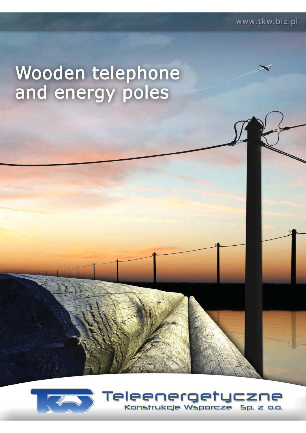# Wooden telephone<br>and energy poles



Teleenergetyczne Konstrukcje Wsporcze  $Sp. z$  o.o.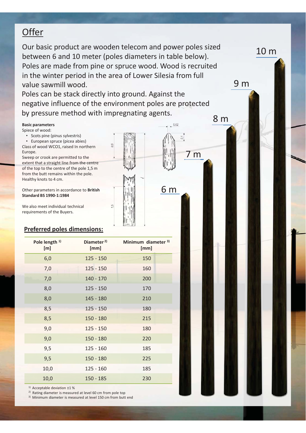# **Offer**

Our basic product are wooden telecom and power poles sized between 6 and 10 meter (poles diameters in table below). Poles are made from pine or spruce wood. Wood is recruited in the winter period in the area of Lower Silesia from full value sawmill wood.

Poles can be stack directly into ground. Against the negative influence of the environment poles are protected by pressure method with impregnating agents.

8 m

m

6 m

 $0.02$ 

 $\mathbb{C}^1$ 

9 m

10 m

### **Basic parameters**

Spiece of wood:

Scots pine (pinus sylvestris)

• European spruce (picea abies) Class of wood WCO1, raised In northern Europe.

Sweep or crook are permitted to the extent that a straight line from the centre of the top to the centre of the pole 1,5 m from the butt remains within the pole. Healthy knots to 4 cm.

Other parameters in accordance to **British Standard BS 1990-1:1984**

We also meet individual technical requirements of the Buyers.

### **Preferred poles dimensions:**

| Pole length <sup>1)</sup><br>[m] | Diameter <sup>2)</sup><br>[mm] | Minimum diameter 3)<br>[mm] |
|----------------------------------|--------------------------------|-----------------------------|
| 6,0                              | $125 - 150$                    | 150                         |
| 7,0                              | $125 - 150$                    | 160                         |
| 7,0                              | $140 - 170$                    | 200                         |
| 8,0                              | $125 - 150$                    | 170                         |
| 8,0                              | 145 - 180                      | 210                         |
| 8,5                              | $125 - 150$                    | 180                         |
| 8,5                              | $150 - 180$                    | 215                         |
| 9,0                              | $125 - 150$                    | 180                         |
| 9,0                              | $150 - 180$                    | 220                         |
| 9,5                              | $125 - 160$                    | 185                         |
| 9,5                              | $150 - 180$                    | 225                         |
| 10,0                             | $125 - 160$                    | 185                         |
| 10,0                             | $150 - 185$                    | 230                         |

1) Acceptable deviation ±1 %

2) Rating diameter is measured at level 60 cm from pole top

<sup>3)</sup> Minimum diameter is measured at level 150 cm from butt end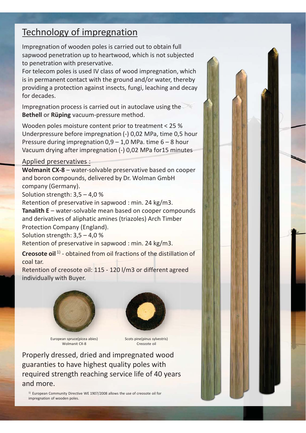# Technology of impregnation

Impregnation of wooden poles is carried out to obtain full sapwood penetration up to heartwood, which is not subjected to penetration with preservative.

For telecom poles is used IV class of wood impregnation, which is in permanent contact with the ground and/or water, thereby providing a protection against insects, fungi, leaching and decay for decades.

Impregnation process is carried out in autoclave using the **Bethell** or **Rüping** vacuum-pressure method.

Wooden poles moisture content prior to treatment < 25 % Underpressure before impregnation (-) 0,02 MPa, time 0,5 hour Pressure during impregnation  $0.9 - 1.0$  MPa. time  $6 - 8$  hour Vacuum drying after impregnation (-) 0,02 MPa for15 minutes

## Applied preservatives :

**Wolmanit CX-8** – water-solvable preservative based on cooper and boron compounds, delivered by Dr. Wolman GmbH company (Germany).

Solution strength: 3,5 – 4,0 %

Retention of preservative in sapwood : min. 24 kg/m3. **Tanalith E** – water-solvable mean based on cooper compounds and derivatives of aliphatic amines (triazoles) Arch Timber Protection Company (England).

Solution strength: 3,5 – 4,0 %

Retention of preservative in sapwood : min. 24 kg/m3.

**Creosote oil** 1) - obtained from oil fractions of the distillation of coal tar.

Retention of creosote oil: 115 - 120 l/m3 or different agreed individually with Buyer.





European spruce(picea abies) Wolmanit CX-8

Scots pine(pinus sylvestris) Creozote oil

Properly dressed, dried and impregnated wood guaranties to have highest quality poles with required strength reaching service life of 40 years and more.

<sup>1)</sup> European Community Directive WE 1907/2008 allows the use of creosote oil for impregnation of wooden poles.